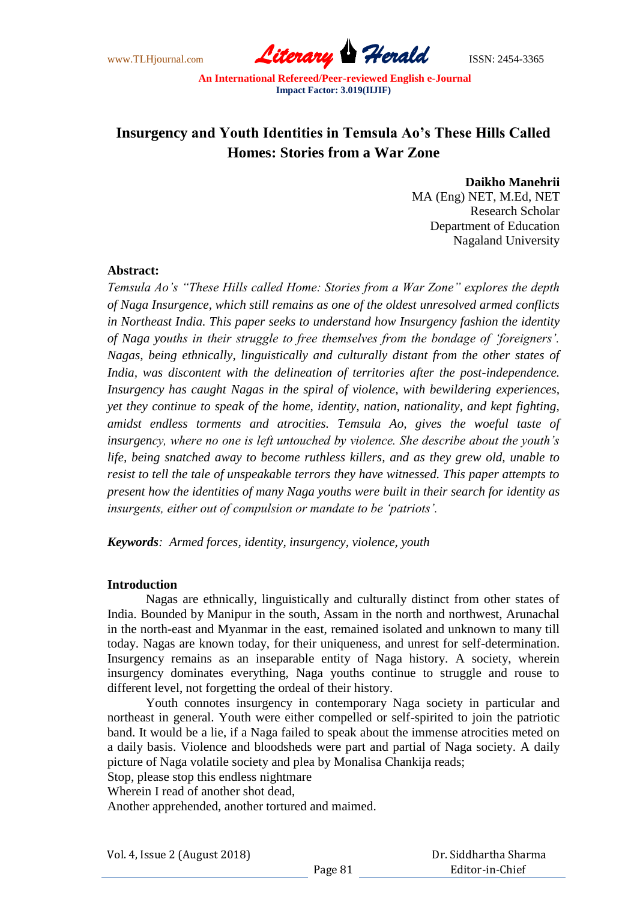www.TLHjournal.com *Literary Herald*ISSN: 2454-3365

# **Insurgency and Youth Identities in Temsula Ao's These Hills Called Homes: Stories from a War Zone**

**Daikho Manehrii**

MA (Eng) NET, M.Ed, NET Research Scholar Department of Education Nagaland University

## **Abstract:**

*Temsula Ao"s "These Hills called Home: Stories from a War Zone" explores the depth of Naga Insurgence, which still remains as one of the oldest unresolved armed conflicts in Northeast India. This paper seeks to understand how Insurgency fashion the identity of Naga youths in their struggle to free themselves from the bondage of "foreigners". Nagas, being ethnically, linguistically and culturally distant from the other states of India, was discontent with the delineation of territories after the post-independence. Insurgency has caught Nagas in the spiral of violence, with bewildering experiences, yet they continue to speak of the home, identity, nation, nationality, and kept fighting, amidst endless torments and atrocities. Temsula Ao, gives the woeful taste of insurgency, where no one is left untouched by violence. She describe about the youth"s life, being snatched away to become ruthless killers, and as they grew old, unable to resist to tell the tale of unspeakable terrors they have witnessed. This paper attempts to present how the identities of many Naga youths were built in their search for identity as insurgents, either out of compulsion or mandate to be "patriots".* 

*Keywords: Armed forces, identity, insurgency, violence, youth*

# **Introduction**

Nagas are ethnically, linguistically and culturally distinct from other states of India. Bounded by Manipur in the south, Assam in the north and northwest, Arunachal in the north-east and Myanmar in the east, remained isolated and unknown to many till today. Nagas are known today, for their uniqueness, and unrest for self-determination. Insurgency remains as an inseparable entity of Naga history. A society, wherein insurgency dominates everything, Naga youths continue to struggle and rouse to different level, not forgetting the ordeal of their history.

Youth connotes insurgency in contemporary Naga society in particular and northeast in general. Youth were either compelled or self-spirited to join the patriotic band. It would be a lie, if a Naga failed to speak about the immense atrocities meted on a daily basis. Violence and bloodsheds were part and partial of Naga society. A daily picture of Naga volatile society and plea by Monalisa Chankija reads;

Stop, please stop this endless nightmare

Wherein I read of another shot dead,

Another apprehended, another tortured and maimed.

 Dr. Siddhartha Sharma Editor-in-Chief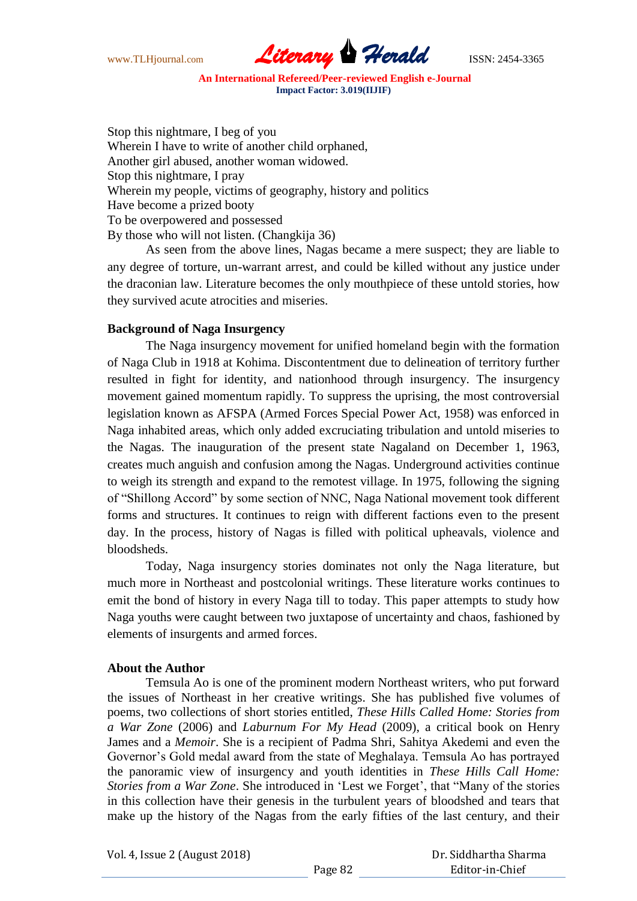www.TLHjournal.com *Literary Herald*ISSN: 2454-3365

Stop this nightmare, I beg of you Wherein I have to write of another child orphaned, Another girl abused, another woman widowed. Stop this nightmare, I pray Wherein my people, victims of geography, history and politics Have become a prized booty To be overpowered and possessed By those who will not listen. (Changkija 36)

As seen from the above lines, Nagas became a mere suspect; they are liable to any degree of torture, un-warrant arrest, and could be killed without any justice under the draconian law. Literature becomes the only mouthpiece of these untold stories, how they survived acute atrocities and miseries.

# **Background of Naga Insurgency**

The Naga insurgency movement for unified homeland begin with the formation of Naga Club in 1918 at Kohima. Discontentment due to delineation of territory further resulted in fight for identity, and nationhood through insurgency. The insurgency movement gained momentum rapidly. To suppress the uprising, the most controversial legislation known as AFSPA (Armed Forces Special Power Act, 1958) was enforced in Naga inhabited areas, which only added excruciating tribulation and untold miseries to the Nagas. The inauguration of the present state Nagaland on December 1, 1963, creates much anguish and confusion among the Nagas. Underground activities continue to weigh its strength and expand to the remotest village. In 1975, following the signing of "Shillong Accord" by some section of NNC, Naga National movement took different forms and structures. It continues to reign with different factions even to the present day. In the process, history of Nagas is filled with political upheavals, violence and bloodsheds.

Today, Naga insurgency stories dominates not only the Naga literature, but much more in Northeast and postcolonial writings. These literature works continues to emit the bond of history in every Naga till to today. This paper attempts to study how Naga youths were caught between two juxtapose of uncertainty and chaos, fashioned by elements of insurgents and armed forces.

#### **About the Author**

Temsula Ao is one of the prominent modern Northeast writers, who put forward the issues of Northeast in her creative writings. She has published five volumes of poems, two collections of short stories entitled, *These Hills Called Home: Stories from a War Zone* (2006) and *Laburnum For My Head* (2009), a critical book on Henry James and a *Memoir*. She is a recipient of Padma Shri, Sahitya Akedemi and even the Governor"s Gold medal award from the state of Meghalaya. Temsula Ao has portrayed the panoramic view of insurgency and youth identities in *These Hills Call Home: Stories from a War Zone*. She introduced in 'Lest we Forget', that "Many of the stories in this collection have their genesis in the turbulent years of bloodshed and tears that make up the history of the Nagas from the early fifties of the last century, and their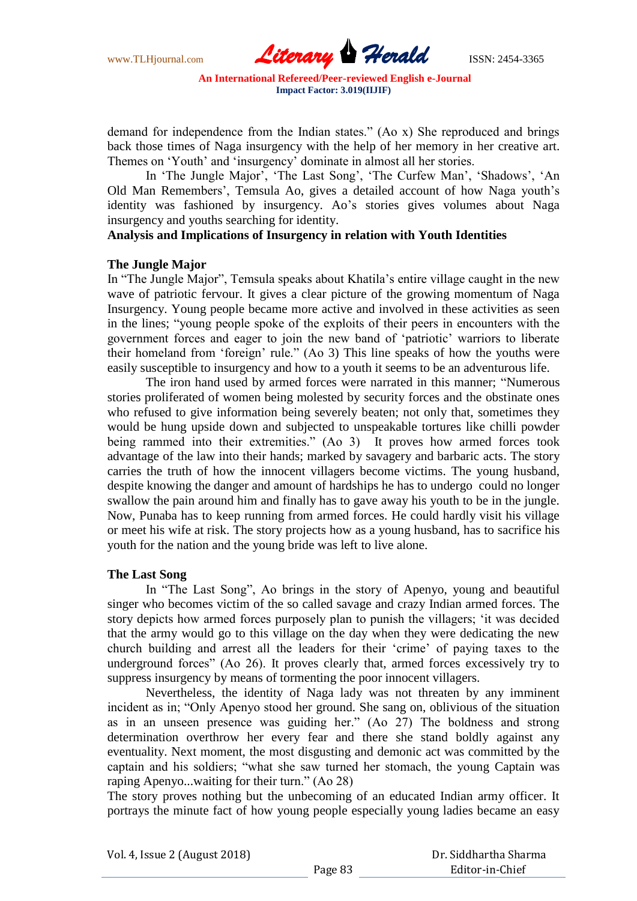www.TLHjournal.com *Literary Herald*ISSN: 2454-3365

demand for independence from the Indian states." (Ao x) She reproduced and brings back those times of Naga insurgency with the help of her memory in her creative art. Themes on 'Youth' and 'insurgency' dominate in almost all her stories.

In 'The Jungle Major', 'The Last Song', 'The Curfew Man', 'Shadows', 'An Old Man Remembers", Temsula Ao, gives a detailed account of how Naga youth"s identity was fashioned by insurgency. Ao's stories gives volumes about Naga insurgency and youths searching for identity.

# **Analysis and Implications of Insurgency in relation with Youth Identities**

#### **The Jungle Major**

In "The Jungle Major", Temsula speaks about Khatila"s entire village caught in the new wave of patriotic fervour. It gives a clear picture of the growing momentum of Naga Insurgency. Young people became more active and involved in these activities as seen in the lines; "young people spoke of the exploits of their peers in encounters with the government forces and eager to join the new band of "patriotic" warriors to liberate their homeland from "foreign" rule." (Ao 3) This line speaks of how the youths were easily susceptible to insurgency and how to a youth it seems to be an adventurous life.

The iron hand used by armed forces were narrated in this manner; "Numerous stories proliferated of women being molested by security forces and the obstinate ones who refused to give information being severely beaten; not only that, sometimes they would be hung upside down and subjected to unspeakable tortures like chilli powder being rammed into their extremities." (Ao 3) It proves how armed forces took advantage of the law into their hands; marked by savagery and barbaric acts. The story carries the truth of how the innocent villagers become victims. The young husband, despite knowing the danger and amount of hardships he has to undergo could no longer swallow the pain around him and finally has to gave away his youth to be in the jungle. Now, Punaba has to keep running from armed forces. He could hardly visit his village or meet his wife at risk. The story projects how as a young husband, has to sacrifice his youth for the nation and the young bride was left to live alone.

#### **The Last Song**

In "The Last Song", Ao brings in the story of Apenyo, young and beautiful singer who becomes victim of the so called savage and crazy Indian armed forces. The story depicts how armed forces purposely plan to punish the villagers; "it was decided that the army would go to this village on the day when they were dedicating the new church building and arrest all the leaders for their "crime" of paying taxes to the underground forces" (Ao 26). It proves clearly that, armed forces excessively try to suppress insurgency by means of tormenting the poor innocent villagers.

Nevertheless, the identity of Naga lady was not threaten by any imminent incident as in; "Only Apenyo stood her ground. She sang on, oblivious of the situation as in an unseen presence was guiding her." (Ao 27) The boldness and strong determination overthrow her every fear and there she stand boldly against any eventuality. Next moment, the most disgusting and demonic act was committed by the captain and his soldiers; "what she saw turned her stomach, the young Captain was raping Apenyo...waiting for their turn." (Ao 28)

The story proves nothing but the unbecoming of an educated Indian army officer. It portrays the minute fact of how young people especially young ladies became an easy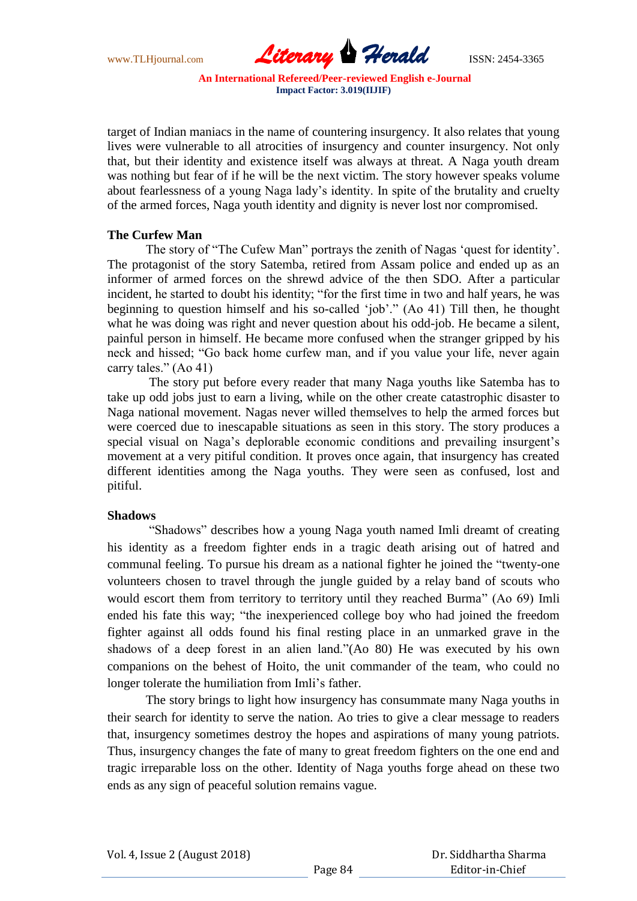www.TLHjournal.com *Literary Herald*ISSN: 2454-3365

target of Indian maniacs in the name of countering insurgency. It also relates that young lives were vulnerable to all atrocities of insurgency and counter insurgency. Not only that, but their identity and existence itself was always at threat. A Naga youth dream was nothing but fear of if he will be the next victim. The story however speaks volume about fearlessness of a young Naga lady"s identity. In spite of the brutality and cruelty of the armed forces, Naga youth identity and dignity is never lost nor compromised.

# **The Curfew Man**

The story of "The Cufew Man" portrays the zenith of Nagas "quest for identity". The protagonist of the story Satemba, retired from Assam police and ended up as an informer of armed forces on the shrewd advice of the then SDO. After a particular incident, he started to doubt his identity; "for the first time in two and half years, he was beginning to question himself and his so-called 'job'." (Ao 41) Till then, he thought what he was doing was right and never question about his odd-job. He became a silent, painful person in himself. He became more confused when the stranger gripped by his neck and hissed; "Go back home curfew man, and if you value your life, never again carry tales." (Ao 41)

The story put before every reader that many Naga youths like Satemba has to take up odd jobs just to earn a living, while on the other create catastrophic disaster to Naga national movement. Nagas never willed themselves to help the armed forces but were coerced due to inescapable situations as seen in this story. The story produces a special visual on Naga's deplorable economic conditions and prevailing insurgent's movement at a very pitiful condition. It proves once again, that insurgency has created different identities among the Naga youths. They were seen as confused, lost and pitiful.

#### **Shadows**

"Shadows" describes how a young Naga youth named Imli dreamt of creating his identity as a freedom fighter ends in a tragic death arising out of hatred and communal feeling. To pursue his dream as a national fighter he joined the "twenty-one volunteers chosen to travel through the jungle guided by a relay band of scouts who would escort them from territory to territory until they reached Burma" (Ao 69) Imli ended his fate this way; "the inexperienced college boy who had joined the freedom fighter against all odds found his final resting place in an unmarked grave in the shadows of a deep forest in an alien land."(Ao 80) He was executed by his own companions on the behest of Hoito, the unit commander of the team, who could no longer tolerate the humiliation from Imli"s father.

The story brings to light how insurgency has consummate many Naga youths in their search for identity to serve the nation. Ao tries to give a clear message to readers that, insurgency sometimes destroy the hopes and aspirations of many young patriots. Thus, insurgency changes the fate of many to great freedom fighters on the one end and tragic irreparable loss on the other. Identity of Naga youths forge ahead on these two ends as any sign of peaceful solution remains vague.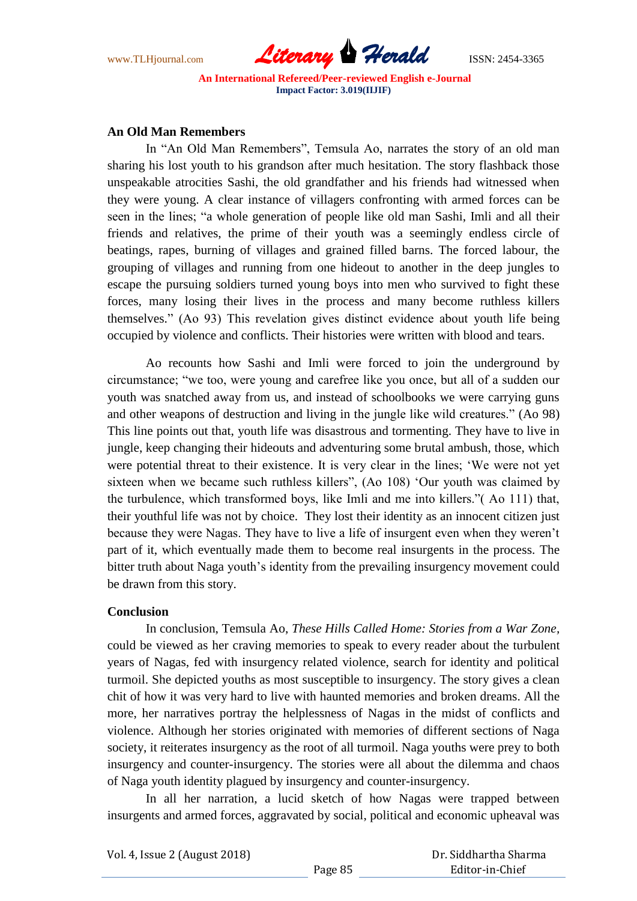

## **An Old Man Remembers**

In "An Old Man Remembers", Temsula Ao, narrates the story of an old man sharing his lost youth to his grandson after much hesitation. The story flashback those unspeakable atrocities Sashi, the old grandfather and his friends had witnessed when they were young. A clear instance of villagers confronting with armed forces can be seen in the lines; "a whole generation of people like old man Sashi, Imli and all their friends and relatives, the prime of their youth was a seemingly endless circle of beatings, rapes, burning of villages and grained filled barns. The forced labour, the grouping of villages and running from one hideout to another in the deep jungles to escape the pursuing soldiers turned young boys into men who survived to fight these forces, many losing their lives in the process and many become ruthless killers themselves." (Ao 93) This revelation gives distinct evidence about youth life being occupied by violence and conflicts. Their histories were written with blood and tears.

Ao recounts how Sashi and Imli were forced to join the underground by circumstance; "we too, were young and carefree like you once, but all of a sudden our youth was snatched away from us, and instead of schoolbooks we were carrying guns and other weapons of destruction and living in the jungle like wild creatures." (Ao 98) This line points out that, youth life was disastrous and tormenting. They have to live in jungle, keep changing their hideouts and adventuring some brutal ambush, those, which were potential threat to their existence. It is very clear in the lines; "We were not yet sixteen when we became such ruthless killers", (Ao 108) "Our youth was claimed by the turbulence, which transformed boys, like Imli and me into killers."( Ao 111) that, their youthful life was not by choice. They lost their identity as an innocent citizen just because they were Nagas. They have to live a life of insurgent even when they weren"t part of it, which eventually made them to become real insurgents in the process. The bitter truth about Naga youth's identity from the prevailing insurgency movement could be drawn from this story.

#### **Conclusion**

In conclusion, Temsula Ao, *These Hills Called Home: Stories from a War Zone,*  could be viewed as her craving memories to speak to every reader about the turbulent years of Nagas, fed with insurgency related violence, search for identity and political turmoil. She depicted youths as most susceptible to insurgency. The story gives a clean chit of how it was very hard to live with haunted memories and broken dreams. All the more, her narratives portray the helplessness of Nagas in the midst of conflicts and violence. Although her stories originated with memories of different sections of Naga society, it reiterates insurgency as the root of all turmoil. Naga youths were prey to both insurgency and counter-insurgency. The stories were all about the dilemma and chaos of Naga youth identity plagued by insurgency and counter-insurgency.

In all her narration, a lucid sketch of how Nagas were trapped between insurgents and armed forces, aggravated by social, political and economic upheaval was

## Dr. Siddhartha Sharma Editor-in-Chief